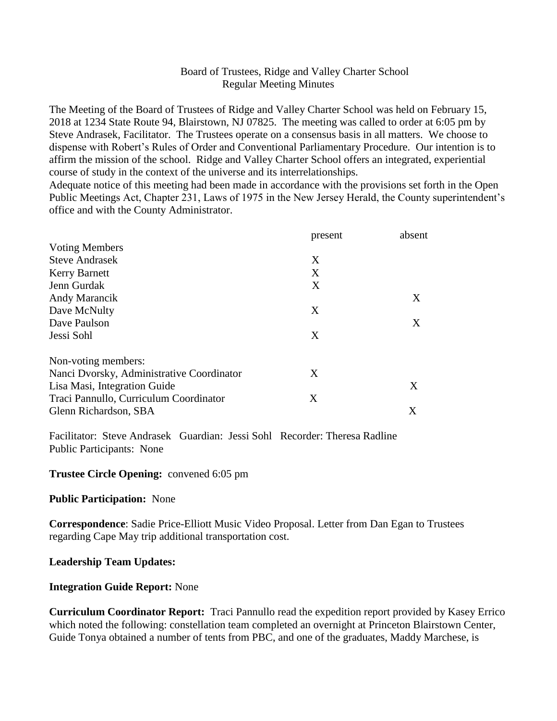### Board of Trustees, Ridge and Valley Charter School Regular Meeting Minutes

The Meeting of the Board of Trustees of Ridge and Valley Charter School was held on February 15, 2018 at 1234 State Route 94, Blairstown, NJ 07825. The meeting was called to order at 6:05 pm by Steve Andrasek, Facilitator. The Trustees operate on a consensus basis in all matters. We choose to dispense with Robert's Rules of Order and Conventional Parliamentary Procedure. Our intention is to affirm the mission of the school. Ridge and Valley Charter School offers an integrated, experiential course of study in the context of the universe and its interrelationships.

Adequate notice of this meeting had been made in accordance with the provisions set forth in the Open Public Meetings Act, Chapter 231, Laws of 1975 in the New Jersey Herald, the County superintendent's office and with the County Administrator.

|                                           | present | absent |
|-------------------------------------------|---------|--------|
| <b>Voting Members</b>                     |         |        |
| <b>Steve Andrasek</b>                     | X       |        |
| <b>Kerry Barnett</b>                      | X       |        |
| Jenn Gurdak                               | X       |        |
| Andy Marancik                             |         | X      |
| Dave McNulty                              | X       |        |
| Dave Paulson                              |         | X      |
| Jessi Sohl                                | X       |        |
| Non-voting members:                       |         |        |
| Nanci Dvorsky, Administrative Coordinator | X       |        |
| Lisa Masi, Integration Guide              |         | X      |
| Traci Pannullo, Curriculum Coordinator    | X       |        |
| Glenn Richardson, SBA                     |         | Χ      |

Facilitator: Steve Andrasek Guardian: Jessi Sohl Recorder: Theresa Radline Public Participants: None

### **Trustee Circle Opening:** convened 6:05 pm

**Public Participation:** None

**Correspondence**: Sadie Price-Elliott Music Video Proposal. Letter from Dan Egan to Trustees regarding Cape May trip additional transportation cost.

#### **Leadership Team Updates:**

#### **Integration Guide Report:** None

**Curriculum Coordinator Report:** Traci Pannullo read the expedition report provided by Kasey Errico which noted the following: constellation team completed an overnight at Princeton Blairstown Center, Guide Tonya obtained a number of tents from PBC, and one of the graduates, Maddy Marchese, is